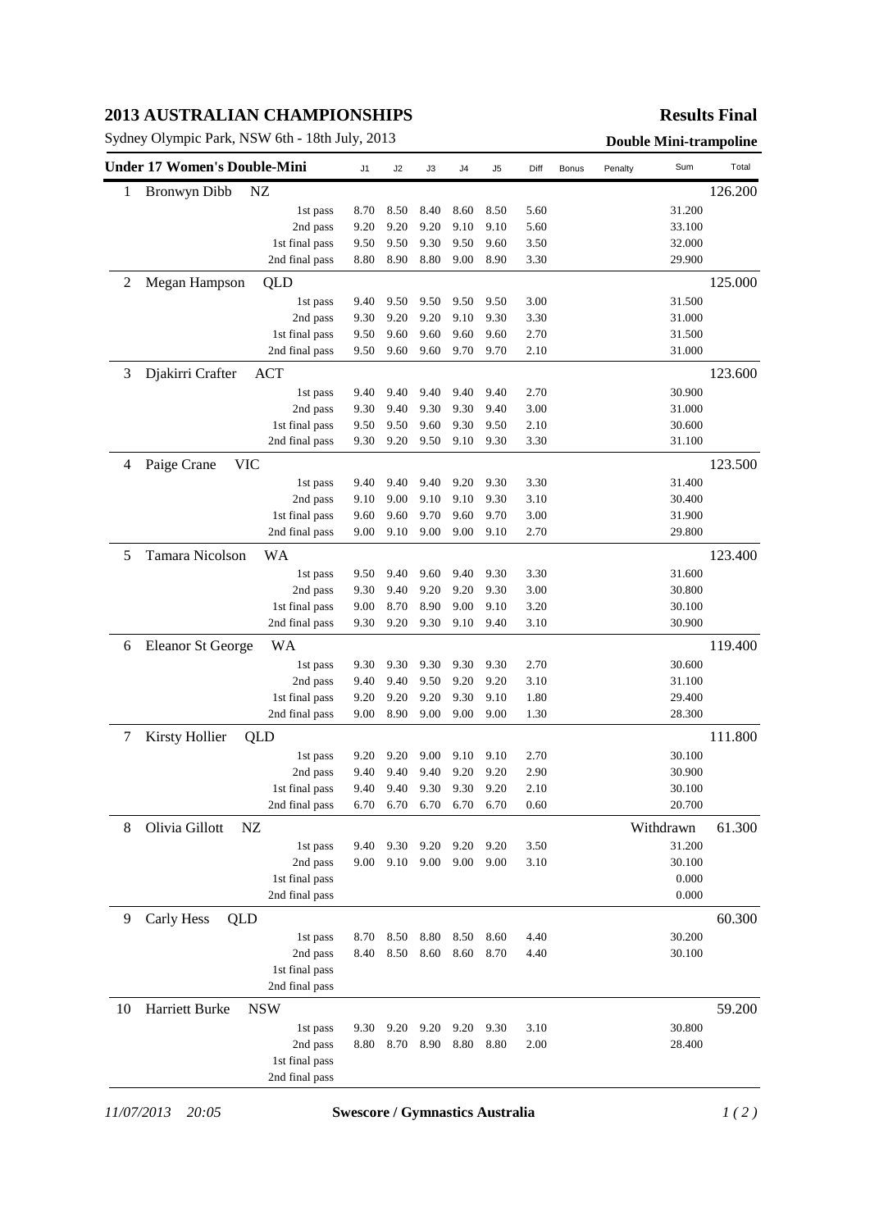## **2013 AUSTRALIAN CHAMPIONSHIPS**

Sydney Olympic Park, NSW 6th - 18th July, 2013<br> **Double Mini-trampoline** 

## **Results Final**

|    | <b>Under 17 Women's Double-Mini</b> | J1   | J2        | J3   | J4   | J5   | Diff | Bonus | Penalty | Sum       | Total   |
|----|-------------------------------------|------|-----------|------|------|------|------|-------|---------|-----------|---------|
| 1  | <b>Bronwyn Dibb</b><br>NZ           |      |           |      |      |      |      |       |         |           | 126.200 |
|    | 1st pass                            | 8.70 | 8.50      | 8.40 | 8.60 | 8.50 | 5.60 |       |         | 31.200    |         |
|    | 2nd pass                            | 9.20 | 9.20      | 9.20 | 9.10 | 9.10 | 5.60 |       |         | 33.100    |         |
|    | 1st final pass                      | 9.50 | 9.50      | 9.30 | 9.50 | 9.60 | 3.50 |       |         | 32.000    |         |
|    | 2nd final pass                      | 8.80 | 8.90      | 8.80 | 9.00 | 8.90 | 3.30 |       |         | 29.900    |         |
| 2  | Megan Hampson<br>QLD                |      |           |      |      |      |      |       |         |           | 125.000 |
|    | 1st pass                            | 9.40 | 9.50      | 9.50 | 9.50 | 9.50 | 3.00 |       |         | 31.500    |         |
|    | 2nd pass                            | 9.30 | 9.20      | 9.20 | 9.10 | 9.30 | 3.30 |       |         | 31.000    |         |
|    | 1st final pass                      | 9.50 | 9.60      | 9.60 | 9.60 | 9.60 | 2.70 |       |         | 31.500    |         |
|    | 2nd final pass                      | 9.50 | 9.60      | 9.60 | 9.70 | 9.70 | 2.10 |       |         | 31.000    |         |
| 3  | Djakirri Crafter<br>ACT             |      |           |      |      |      |      |       |         |           | 123.600 |
|    | 1st pass                            | 9.40 | 9.40      | 9.40 | 9.40 | 9.40 | 2.70 |       |         | 30.900    |         |
|    | 2nd pass                            | 9.30 | 9.40      | 9.30 | 9.30 | 9.40 | 3.00 |       |         | 31.000    |         |
|    | 1st final pass                      | 9.50 | 9.50      | 9.60 | 9.30 | 9.50 | 2.10 |       |         | 30.600    |         |
|    | 2nd final pass                      | 9.30 | 9.20      | 9.50 | 9.10 | 9.30 | 3.30 |       |         | 31.100    |         |
| 4  | <b>VIC</b><br>Paige Crane           |      |           |      |      |      |      |       |         |           | 123.500 |
|    | 1st pass                            | 9.40 | 9.40      | 9.40 | 9.20 | 9.30 | 3.30 |       |         | 31.400    |         |
|    | 2nd pass                            | 9.10 | 9.00      | 9.10 | 9.10 | 9.30 | 3.10 |       |         | 30.400    |         |
|    | 1st final pass                      | 9.60 | 9.60      | 9.70 | 9.60 | 9.70 | 3.00 |       |         | 31.900    |         |
|    | 2nd final pass                      | 9.00 | 9.10      | 9.00 | 9.00 | 9.10 | 2.70 |       |         | 29.800    |         |
| 5  | Tamara Nicolson<br>WA               |      |           |      |      |      |      |       |         |           | 123.400 |
|    | 1st pass                            | 9.50 | 9.40      | 9.60 | 9.40 | 9.30 | 3.30 |       |         | 31.600    |         |
|    | 2nd pass                            | 9.30 | 9.40      | 9.20 | 9.20 | 9.30 | 3.00 |       |         | 30.800    |         |
|    | 1st final pass                      | 9.00 | 8.70      | 8.90 | 9.00 | 9.10 | 3.20 |       |         | 30.100    |         |
|    | 2nd final pass                      | 9.30 | 9.20      | 9.30 | 9.10 | 9.40 | 3.10 |       |         | 30.900    |         |
| 6  | <b>Eleanor St George</b><br>WA      |      |           |      |      |      |      |       |         |           | 119.400 |
|    | 1st pass                            | 9.30 | 9.30      | 9.30 | 9.30 | 9.30 | 2.70 |       |         | 30.600    |         |
|    | 2nd pass                            | 9.40 | 9.40      | 9.50 | 9.20 | 9.20 | 3.10 |       |         | 31.100    |         |
|    | 1st final pass                      | 9.20 | 9.20      | 9.20 | 9.30 | 9.10 | 1.80 |       |         | 29.400    |         |
|    | 2nd final pass                      | 9.00 | 8.90      | 9.00 | 9.00 | 9.00 | 1.30 |       |         | 28.300    |         |
| 7  | Kirsty Hollier<br>QLD               |      |           |      |      |      |      |       |         |           | 111.800 |
|    | 1st pass                            | 9.20 | 9.20      | 9.00 | 9.10 | 9.10 | 2.70 |       |         | 30.100    |         |
|    | 2nd pass                            | 9.40 | 9.40      | 9.40 | 9.20 | 9.20 | 2.90 |       |         | 30.900    |         |
|    | 1st final pass                      | 9.40 | 9.40      | 9.30 | 9.30 | 9.20 | 2.10 |       |         | 30.100    |         |
|    | 2nd final pass                      |      | 6.70 6.70 | 6.70 | 6.70 | 6.70 | 0.60 |       |         | 20.700    |         |
| 8  | Olivia Gillott<br>NZ                |      |           |      |      |      |      |       |         | Withdrawn | 61.300  |
|    | 1st pass                            | 9.40 | 9.30      | 9.20 | 9.20 | 9.20 | 3.50 |       |         | 31.200    |         |
|    | 2nd pass                            | 9.00 | 9.10      | 9.00 | 9.00 | 9.00 | 3.10 |       |         | 30.100    |         |
|    | 1st final pass                      |      |           |      |      |      |      |       |         | 0.000     |         |
|    | 2nd final pass                      |      |           |      |      |      |      |       |         | 0.000     |         |
| 9  | Carly Hess<br>QLD                   |      |           |      |      |      |      |       |         |           | 60.300  |
|    | 1st pass                            | 8.70 | 8.50      | 8.80 | 8.50 | 8.60 | 4.40 |       |         | 30.200    |         |
|    | 2nd pass                            | 8.40 | 8.50      | 8.60 | 8.60 | 8.70 | 4.40 |       |         | 30.100    |         |
|    | 1st final pass                      |      |           |      |      |      |      |       |         |           |         |
|    | 2nd final pass                      |      |           |      |      |      |      |       |         |           |         |
| 10 | Harriett Burke<br><b>NSW</b>        |      |           |      |      |      |      |       |         |           | 59.200  |
|    | 1st pass                            | 9.30 | 9.20      | 9.20 | 9.20 | 9.30 | 3.10 |       |         | 30.800    |         |
|    | 2nd pass                            | 8.80 | 8.70      | 8.90 | 8.80 | 8.80 | 2.00 |       |         | 28.400    |         |
|    | 1st final pass                      |      |           |      |      |      |      |       |         |           |         |
|    | 2nd final pass                      |      |           |      |      |      |      |       |         |           |         |

*11/07/2013 20:05* **Swescore / Gymnastics Australia** *1 ( 2 )*